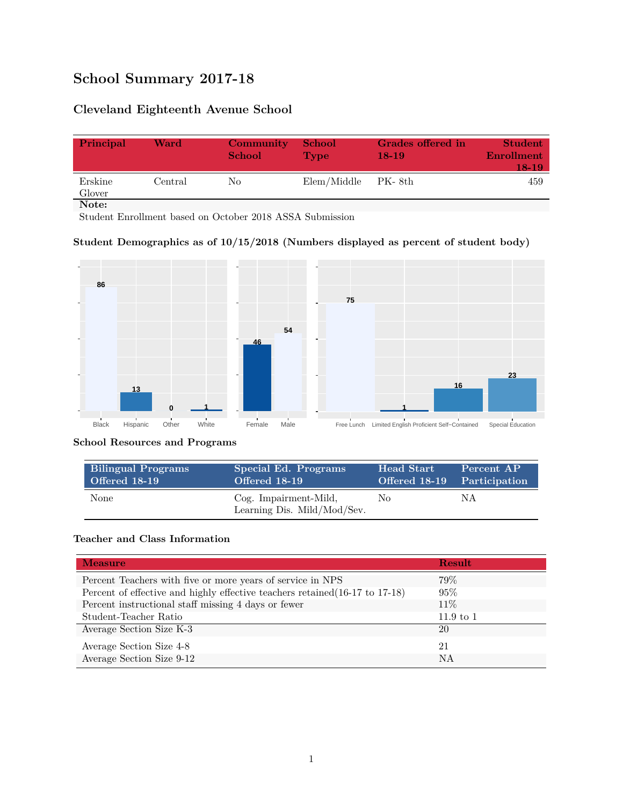# **School Summary 2017-18**

## **Cleveland Eighteenth Avenue School**

| Principal         | Ward    | Community<br><b>School</b> | <b>School</b><br><b>Type</b> | Grades offered in<br>$18-19$ | <b>Student</b><br><b>Enrollment</b><br>18-19 |
|-------------------|---------|----------------------------|------------------------------|------------------------------|----------------------------------------------|
| Erskine<br>Glover | Central | No.                        | Elem/Middle                  | - PK- 8th                    | 459                                          |
| Note:             |         |                            |                              |                              |                                              |

Student Enrollment based on October 2018 ASSA Submission

#### **Student Demographics as of 10/15/2018 (Numbers displayed as percent of student body)**



#### **School Resources and Programs**

| <b>Bilingual Programs</b> | Special Ed. Programs                                 | <b>Head Start</b>           | Percent AP |
|---------------------------|------------------------------------------------------|-----------------------------|------------|
| <b>Offered 18-19</b>      | Offered 18-19                                        | Offered 18-19 Participation |            |
| None                      | Cog. Impairment-Mild,<br>Learning Dis. Mild/Mod/Sev. | No.                         | ΝA         |

#### **Teacher and Class Information**

| <b>Measure</b>                                                               | <b>Result</b>        |
|------------------------------------------------------------------------------|----------------------|
| Percent Teachers with five or more years of service in NPS                   | 79%                  |
| Percent of effective and highly effective teachers retained (16-17 to 17-18) | 95%                  |
| Percent instructional staff missing 4 days or fewer                          | 11\%                 |
| Student-Teacher Ratio                                                        | $11.9 \text{ to } 1$ |
| Average Section Size K-3                                                     | 20                   |
| Average Section Size 4-8                                                     | 21                   |
| Average Section Size 9-12                                                    | NA                   |